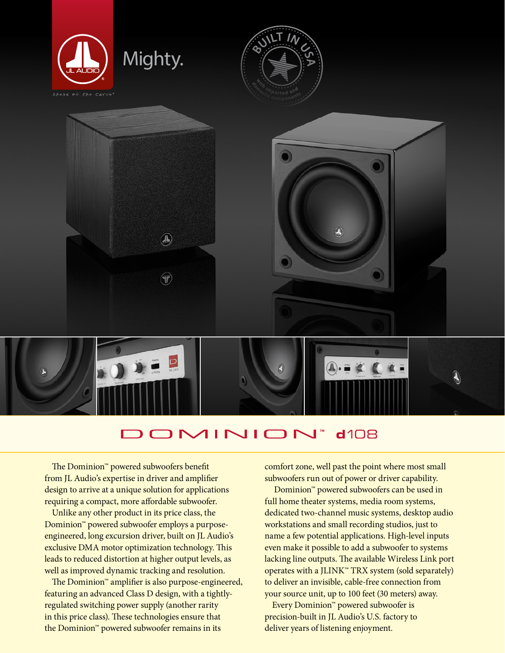

## DOMINION  $d108$

The Dominion™ powered subwoofers benefit from JL Audio's expertise in driver and amplifier design to arrive at a unique solution for applications requiring a compact, more affordable subwoofer.

Unlike any other product in its price class, the Dominion™ powered subwoofer employs a purposeengineered, long excursion driver, built on JL Audio's exclusive DMA motor optimization technology. This leads to reduced distortion at higher output levels, as well as improved dynamic tracking and resolution.

The Dominion™ amplifier is also purpose-engineered, featuring an advanced Class D design, with a tightlyregulated switching power supply (another rarity in this price class). These technologies ensure that the Dominion™ powered subwoofer remains in its

comfort zone, well past the point where most small subwoofers run out of power or driver capability.

 Dominion™ powered subwoofers can be used in full home theater systems, media room systems, dedicated two-channel music systems, desktop audio workstations and small recording studios, just to name a few potential applications. High-level inputs even make it possible to add a subwoofer to systems lacking line outputs. The available Wireless Link port operates with a JLINK™ TRX system (sold separately) to deliver an invisible, cable-free connection from your source unit, up to 100 feet (30 meters) away.

Every Dominion™ powered subwoofer is precision-built in JL Audio's U.S. factory to deliver years of listening enjoyment.